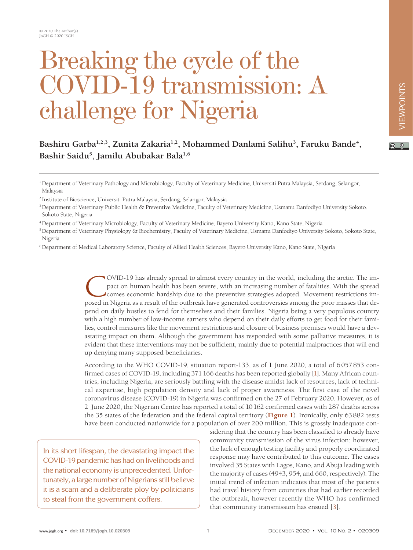# Breaking the cycle of the VID-19 transmission: A challenge for Nigeria

#### $\boxed{6}$

Bashiru Garba<sup>1,2,3</sup>, Zunita Zakaria<sup>1,2</sup>, Mohammed Danlami Salihu<sup>3</sup>, Faruku Bande<sup>4</sup>, **Bashir Saidu5 , Jamilu Abubakar Bala1,6**

<sup>1</sup> Department of Veterinary Pathology and Microbiology, Faculty of Veterinary Medicine, Universiti Putra Malaysia, Serdang, Selangor, Malaysia

2 Institute of Bioscience, Universiti Putra Malaysia, Serdang, Selangor, Malaysia

3 Department of Veterinary Public Health & Preventive Medicine, Faculty of Veterinary Medicine, Usmanu Danfodiyo University Sokoto. Sokoto State, Nigeria

4 Department of Veterinary Microbiology, Faculty of Veterinary Medicine, Bayero University Kano, Kano State, Nigeria

5 Department of Veterinary Physiology & Biochemistry, Faculty of Veterinary Medicine, Usmanu Danfodiyo University Sokoto, Sokoto State, Nigeria

6 Department of Medical Laboratory Science, Faculty of Allied Health Sciences, Bayero University Kano, Kano State, Nigeria

OVID-19 has already spread to almost every country in the world, including the arctic. The impact on human health has been severe, with an increasing number of fatalities. With the spread comes economic hardship due to the preventive strategies adopted. Movement restrictions imposed in Nigeria as a result of the outbreak have generated controversies among the poor masses that depend on daily hustles to fend for themselves and their families. Nigeria being a very populous country with a high number of low-income earners who depend on their daily efforts to get food for their families, control measures like the movement restrictions and closure of business premises would have a devastating impact on them. Although the government has responded with some palliative measures, it is evident that these interventions may not be sufficient, mainly due to potential malpractices that will end up denying many supposed beneficiaries.

According to the WHO COVID-19, situation report-133, as of 1 June 2020, a total of 6057853 confirmed cases of COVID-19, including 371166 deaths has been reported globally [\[1](#page-3-0)]. Many African countries, including Nigeria, are seriously battling with the disease amidst lack of resources, lack of technical expertise, high population density and lack of proper awareness. The first case of the novel coronavirus disease (COVID-19) in Nigeria was confirmed on the 27 of February 2020. However, as of 2 June 2020, the Nigerian Centre has reported a total of 10162 confirmed cases with 287 deaths across the 35 states of the federation and the federal capital territory (**[Figure 1](#page-1-0)**). Ironically, only 63882 tests have been conducted nationwide for a population of over 200 million. This is grossly inadequate con-

In its short lifespan, the devastating impact the COVID-19 pandemic has had on livelihoods and the national economy is unprecedented. Unfortunately, a large number of Nigerians still believe it is a scam and a deliberate ploy by politicians to steal from the government coffers.

sidering that the country has been classified to already have community transmission of the virus infection; however, the lack of enough testing facility and properly coordinated response may have contributed to this outcome. The cases involved 35 States with Lagos, Kano, and Abuja leading with the majority of cases (4943, 954, and 660, respectively). The initial trend of infection indicates that most of the patients had travel history from countries that had earlier recorded the outbreak, however recently the WHO has confirmed that community transmission has ensued [\[3](#page-3-1)].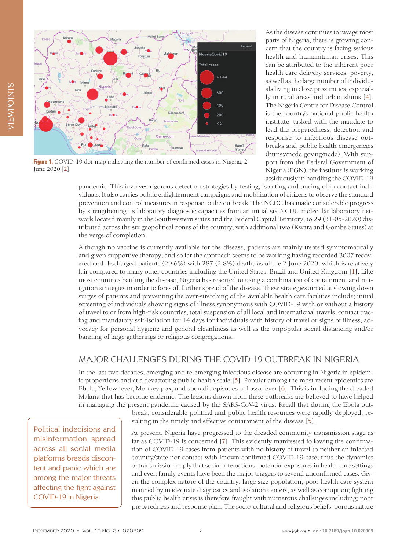<span id="page-1-0"></span>

**Figure 1.** COVID-19 dot-map indicating the number of confirmed cases in Nigeria, 2 June 2020 [\[2\]](#page-3-6).

As the disease continues to ravage most parts of Nigeria, there is growing concern that the country is facing serious health and humanitarian crises. This can be attributed to the inherent poor health care delivery services, poverty, as well as the large number of individuals living in close proximities, especially in rural areas and urban slums [\[4](#page-3-2)]. The Nigeria Centre for Disease Control is the country's national public health institute, tasked with the mandate to lead the preparedness, detection and response to infectious disease outbreaks and public health emergencies (https://ncdc.gov.ng/ncdc). With support from the Federal Government of Nigeria (FGN), the institute is working assiduously in handling the COVID-19

pandemic. This involves rigorous detection strategies by testing, isolating and tracing of in-contact individuals. It also carries public enlightenment campaigns and mobilisation of citizens to observe the standard prevention and control measures in response to the outbreak. The NCDC has made considerable progress by strengthening its laboratory diagnostic capacities from an initial six NCDC molecular laboratory network located mainly in the Southwestern states and the Federal Capital Territory, to 29 (31-05-2020) distributed across the six geopolitical zones of the country, with additional two (Kwara and Gombe States) at the verge of completion.

Although no vaccine is currently available for the disease, patients are mainly treated symptomatically and given supportive therapy; and so far the approach seems to be working having recorded 3007 recovered and discharged patients (29.6%) with 287 (2.8%) deaths as of the 2 June 2020, which is relatively fair compared to many other countries including the United States, Brazil and United Kingdom [\[1](#page-3-0)]. Like most countries battling the disease, Nigeria has resorted to using a combination of containment and mitigation strategies in order to forestall further spread of the disease. These strategies aimed at slowing down surges of patients and preventing the over-stretching of the available health care facilities include; initial screening of individuals showing signs of illness synonymous with COVID-19 with or without a history of travel to or from high-risk countries, total suspension of all local and international travels, contact tracing and mandatory self-isolation for 14 days for individuals with history of travel or signs of illness, advocacy for personal hygiene and general cleanliness as well as the unpopular social distancing and/or banning of large gatherings or religious congregations.

## MAJOR CHALLENGES DURING THE COVID-19 OUTBREAK IN NIGERIA

In the last two decades, emerging and re-emerging infectious disease are occurring in Nigeria in epidemic proportions and at a devastating public health scale [\[5](#page-3-3)]. Popular among the most recent epidemics are Ebola, Yellow fever, Monkey pox, and sporadic episodes of Lassa fever [\[6\]](#page-3-4). This is including the dreaded Malaria that has become endemic. The lessons drawn from these outbreaks are believed to have helped in managing the present pandemic caused by the SARS-CoV-2 virus. Recall that during the Ebola out-

> break, considerable political and public health resources were rapidly deployed, resulting in the timely and effective containment of the disease [\[5\]](#page-3-3).

> At present, Nigeria have progressed to the dreaded community transmission stage as far as COVID-19 is concerned [\[7](#page-3-5)]. This evidently manifested following the confirmation of COVID-19 cases from patients with no history of travel to neither an infected country/state nor contact with known confirmed COVID-19 case; thus the dynamics of transmission imply that social interactions, potential exposures in health care settings and even family events have been the major triggers to several unconfirmed cases. Given the complex nature of the country, large size population, poor health care system manned by inadequate diagnostics and isolation centers, as well as corruption; fighting this public health crisis is therefore fraught with numerous challenges including; poor preparedness and response plan. The socio-cultural and religious beliefs, porous nature

Political indecisions and misinformation spread across all social media platforms breeds discontent and panic which are among the major threats affecting the fight against COVID-19 in Nigeria.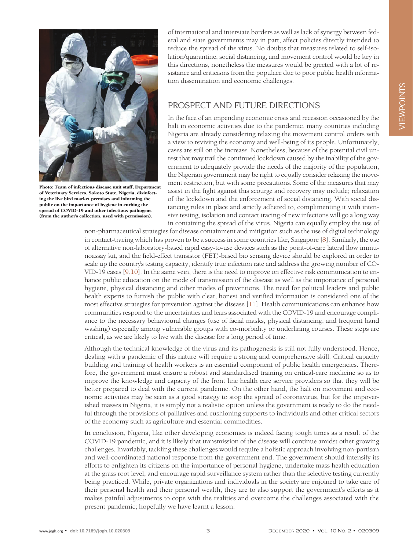

Photo: Team of infectious disease unit staff, Department of Veterinary Services, Sokoto State, Nigeria, disinfecting the live bird market premises and informing the public on the importance of hygiene in curbing the spread of COVID-19 and other infectious pathogens (from the author's collection, used with permission).

of international and interstate borders as well as lack of synergy between federal and state governments may in part, affect policies directly intended to reduce the spread of the virus. No doubts that measures related to self-isolation/quarantine, social distancing, and movement control would be key in this directions, nonetheless the measures would be greeted with a lot of resistance and criticisms from the populace due to poor public health information dissemination and economic challenges.

### PROSPECT AND FUTURE DIRECTIONS

In the face of an impending economic crisis and recession occasioned by the halt in economic activities due to the pandemic, many countries including Nigeria are already considering relaxing the movement control orders with a view to reviving the economy and well-being of its people. Unfortunately, cases are still on the increase. Nonetheless, because of the potential civil unrest that may trail the continued lockdown caused by the inability of the government to adequately provide the needs of the majority of the population, the Nigerian government may be right to equally consider relaxing the movement restriction, but with some precautions. Some of the measures that may assist in the fight against this scourge and recovery may include; relaxation of the lockdown and the enforcement of social distancing. With social distancing rules in place and strictly adhered to, complimenting it with intensive testing, isolation and contact tracing of new infections will go a long way in containing the spread of the virus. Nigeria can equally employ the use of

non-pharmaceutical strategies for disease containment and mitigation such as the use of digital technology in contact-tracing which has proven to be a success in some countries like, Singapore [\[8](#page-3-7)]. Similarly, the use of alternative non-laboratory-based rapid easy-to-use devices such as the point-of-care lateral flow immunoassay kit, and the field-effect transistor (FET)-based bio sensing device should be explored in order to scale up the country's testing capacity, identify true infection rate and address the growing number of CO-VID-19 cases [\[9](#page-3-8)[,10\]](#page-3-9). In the same vein, there is the need to improve on effective risk communication to enhance public education on the mode of transmission of the disease as well as the importance of personal hygiene, physical distancing and other modes of preventions. The need for political leaders and public health experts to furnish the public with clear, honest and verified information is considered one of the most effective strategies for prevention against the disease [\[11\]](#page-3-10). Health communications can enhance how communities respond to the uncertainties and fears associated with the COVID-19 and encourage compliance to the necessary behavioural changes (use of facial masks, physical distancing, and frequent hand washing) especially among vulnerable groups with co-morbidity or underlining courses. These steps are critical, as we are likely to live with the disease for a long period of time.

Although the technical knowledge of the virus and its pathogenesis is still not fully understood. Hence, dealing with a pandemic of this nature will require a strong and comprehensive skill. Critical capacity building and training of health workers is an essential component of public health emergencies. Therefore, the government must ensure a robust and standardised training on critical-care medicine so as to improve the knowledge and capacity of the front line health care service providers so that they will be better prepared to deal with the current pandemic. On the other hand, the halt on movement and economic activities may be seen as a good strategy to stop the spread of coronavirus, but for the impoverished masses in Nigeria, it is simply not a realistic option unless the government is ready to do the needful through the provisions of palliatives and cushioning supports to individuals and other critical sectors of the economy such as agriculture and essential commodities.

In conclusion, Nigeria, like other developing economies is indeed facing tough times as a result of the COVID-19 pandemic, and it is likely that transmission of the disease will continue amidst other growing challenges. Invariably, tackling these challenges would require a holistic approach involving non-partisan and well-coordinated national response from the government end. The government should intensify its efforts to enlighten its citizens on the importance of personal hygiene, undertake mass health education at the grass root level, and encourage rapid surveillance system rather than the selective testing currently being practiced. While, private organizations and individuals in the society are enjoined to take care of their personal health and their personal wealth, they are to also support the government's efforts as it makes painful adjustments to cope with the realities and overcome the challenges associated with the present pandemic; hopefully we have learnt a lesson.